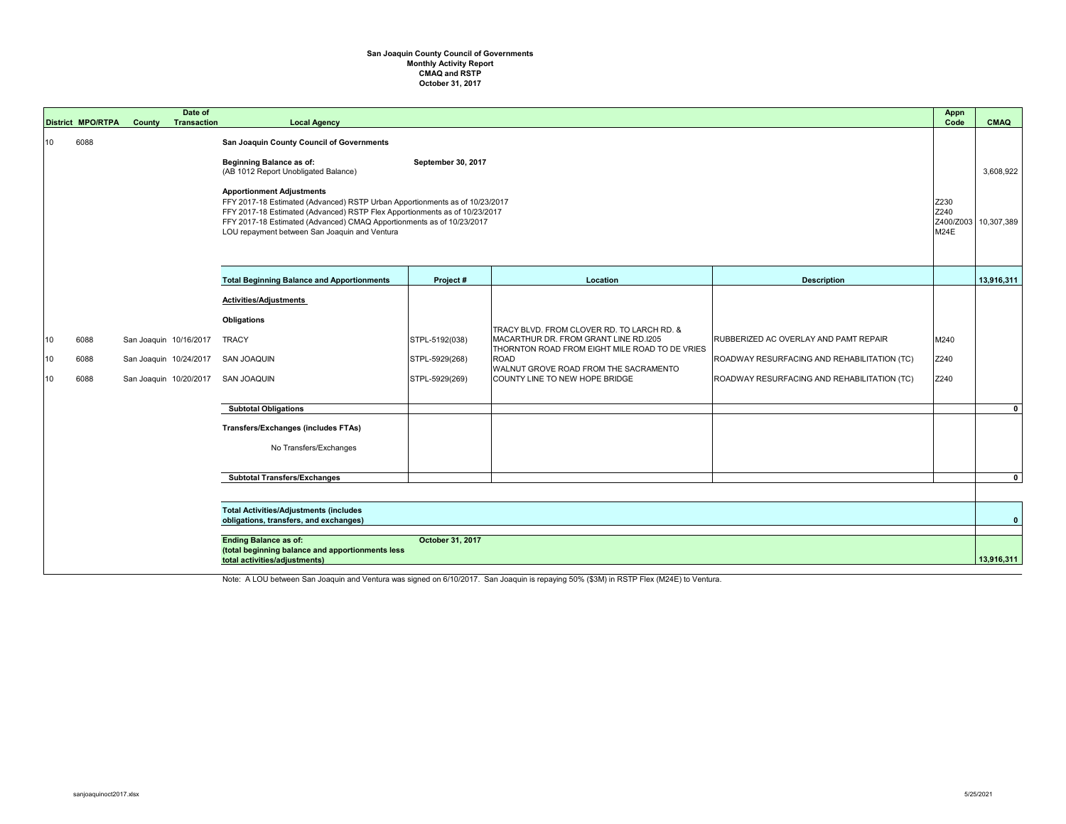## **October 31, 2017 San Joaquin County Council of Governments Monthly Activity Report CMAQ and RSTP**

|                | <b>District MPO/RTPA</b>                                                          | <b>County</b>                                                                                                                                                                                                                                                                                                                                                                                                                                                                | Date of<br><b>Transaction</b> | <b>Local Agency</b>                                                                               |                                                    |                                                                                                                                                                                                                                 |                                                                                                                                     | <b>Appn</b><br>Code                      | <b>CMAQ</b>             |
|----------------|-----------------------------------------------------------------------------------|------------------------------------------------------------------------------------------------------------------------------------------------------------------------------------------------------------------------------------------------------------------------------------------------------------------------------------------------------------------------------------------------------------------------------------------------------------------------------|-------------------------------|---------------------------------------------------------------------------------------------------|----------------------------------------------------|---------------------------------------------------------------------------------------------------------------------------------------------------------------------------------------------------------------------------------|-------------------------------------------------------------------------------------------------------------------------------------|------------------------------------------|-------------------------|
| 10             | 6088                                                                              | <b>San Joaquin County Council of Governments</b><br><b>Beginning Balance as of:</b><br>September 30, 2017<br>(AB 1012 Report Unobligated Balance)<br><b>Apportionment Adjustments</b><br>FFY 2017-18 Estimated (Advanced) RSTP Urban Apportionments as of 10/23/2017<br>FFY 2017-18 Estimated (Advanced) RSTP Flex Apportionments as of 10/23/2017<br>FFY 2017-18 Estimated (Advanced) CMAQ Apportionments as of 10/23/2017<br>LOU repayment between San Joaquin and Ventura |                               |                                                                                                   |                                                    |                                                                                                                                                                                                                                 |                                                                                                                                     | Z230<br>Z240<br>Z400/Z003<br><b>M24E</b> | 3,608,922<br>10,307,389 |
|                |                                                                                   |                                                                                                                                                                                                                                                                                                                                                                                                                                                                              |                               | <b>Total Beginning Balance and Apportionments</b>                                                 | Project #                                          | Location                                                                                                                                                                                                                        | <b>Description</b>                                                                                                                  |                                          | 13,916,311              |
| 10<br>10<br>10 | 6088<br>6088<br>6088                                                              | San Joaquin 10/16/2017<br>San Joaquin 10/24/2017<br>San Joaquin 10/20/2017                                                                                                                                                                                                                                                                                                                                                                                                   |                               | <b>Activities/Adjustments</b><br><b>Obligations</b><br><b>TRACY</b><br>SAN JOAQUIN<br>SAN JOAQUIN | STPL-5192(038)<br>STPL-5929(268)<br>STPL-5929(269) | TRACY BLVD. FROM CLOVER RD. TO LARCH RD. &<br>MACARTHUR DR. FROM GRANT LINE RD.1205<br>THORNTON ROAD FROM EIGHT MILE ROAD TO DE VRIES<br><b>ROAD</b><br>WALNUT GROVE ROAD FROM THE SACRAMENTO<br>COUNTY LINE TO NEW HOPE BRIDGE | RUBBERIZED AC OVERLAY AND PAMT REPAIR<br>ROADWAY RESURFACING AND REHABILITATION (TC)<br>ROADWAY RESURFACING AND REHABILITATION (TC) | M240<br>Z240<br>Z240                     |                         |
|                |                                                                                   |                                                                                                                                                                                                                                                                                                                                                                                                                                                                              |                               | <b>Subtotal Obligations</b>                                                                       |                                                    |                                                                                                                                                                                                                                 |                                                                                                                                     |                                          | $\mathbf{0}$            |
|                |                                                                                   |                                                                                                                                                                                                                                                                                                                                                                                                                                                                              |                               | <b>Transfers/Exchanges (includes FTAs)</b><br>No Transfers/Exchanges                              |                                                    |                                                                                                                                                                                                                                 |                                                                                                                                     |                                          |                         |
|                |                                                                                   |                                                                                                                                                                                                                                                                                                                                                                                                                                                                              |                               | <b>Subtotal Transfers/Exchanges</b>                                                               |                                                    |                                                                                                                                                                                                                                 |                                                                                                                                     |                                          | $\overline{0}$          |
|                |                                                                                   | <b>Total Activities/Adjustments (includes</b><br>obligations, transfers, and exchanges)<br><b>Ending Balance as of:</b><br><b>October 31, 2017</b>                                                                                                                                                                                                                                                                                                                           |                               |                                                                                                   |                                                    |                                                                                                                                                                                                                                 |                                                                                                                                     |                                          | $\mathbf{0}$            |
|                | (total beginning balance and apportionments less<br>total activities/adjustments) |                                                                                                                                                                                                                                                                                                                                                                                                                                                                              |                               |                                                                                                   |                                                    |                                                                                                                                                                                                                                 |                                                                                                                                     | 13,916,311                               |                         |

Note: A LOU between San Joaquin and Ventura was signed on 6/10/2017. San Joaquin is repaying 50% (\$3M) in RSTP Flex (M24E) to Ventura.